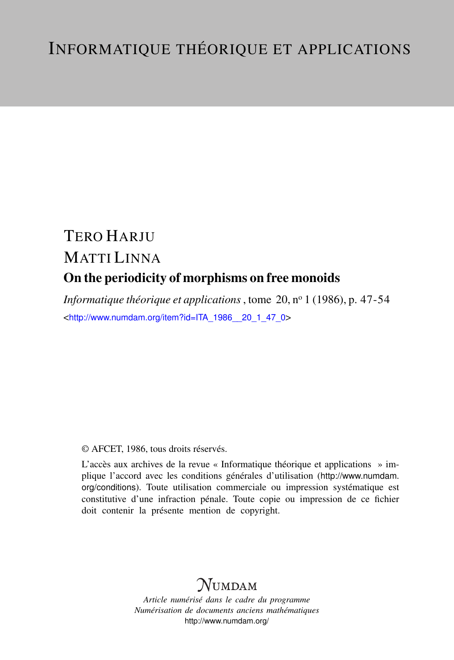# TERO HARJU MATTI LINNA On the periodicity of morphisms on free monoids

*Informatique théorique et applications*, tome 20, nº 1 (1986), p. 47-54 <[http://www.numdam.org/item?id=ITA\\_1986\\_\\_20\\_1\\_47\\_0](http://www.numdam.org/item?id=ITA_1986__20_1_47_0)>

## © AFCET, 1986, tous droits réservés.

L'accès aux archives de la revue « Informatique théorique et applications » implique l'accord avec les conditions générales d'utilisation ([http://www.numdam.](http://www.numdam.org/conditions) [org/conditions](http://www.numdam.org/conditions)). Toute utilisation commerciale ou impression systématique est constitutive d'une infraction pénale. Toute copie ou impression de ce fichier doit contenir la présente mention de copyright.

## **NUMDAM**

*Article numérisé dans le cadre du programme Numérisation de documents anciens mathématiques* <http://www.numdam.org/>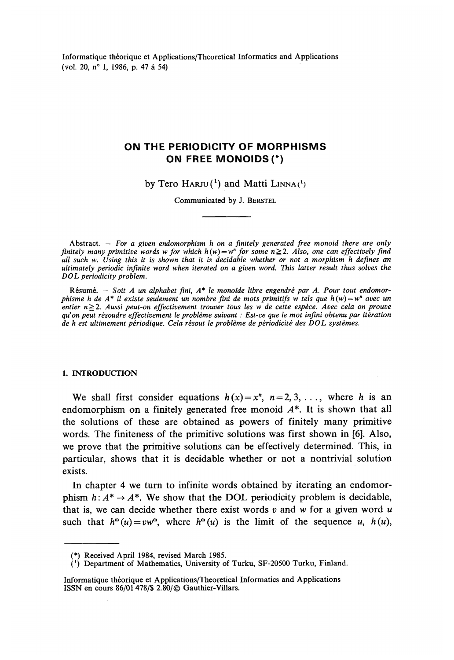Informatique théorique et Applications/Theoretical Informaties and Applications (vol. 20, n° 1, 1986, p. 47 à 54)

## **ON THE PERIODICITY OF MORPHISMS ON FREE MONOIDS (\*)**

by Tero  $H$ ARJU(<sup>1</sup>) and Matti LINNA(<sup>1</sup>)

Communicated by J. BERSTEL

Abstract. - For a given endomorphism h on a finitely generated free monoid there are only *finitely many primitive words w for which*  $h(w) = w^n$  *for some*  $n \geq 2$ *. Also, one can effectively find ail such w. Using this it is shown that it is decidable whether or not a morphism h defines an ultimately periodic infinité word when iterated on a given word. This latter resuit thus solves the DOL periodicity problem.*

Résumé. — *Soit A un alphabet fini, A\* le monoïde libre engendré par A. Pour tout endomorphisme h de A\* il existe seulement un nombre fini de mots primitifs w tels que h(w) = w n avec un entier n^.2. Aussi peut-on effectivement trouver tous les w de cette espèce. Avec cela on prouve qu'on peut résoudre effectivement le problème suivant : Est-ce que le mot infini obtenu par itération de h est ultimement périodique. Cela résout le problème de périodicité des DOL systèmes.*

#### 1. INTRODUCTION

We shall first consider equations  $h(x) = x^n$ ,  $n = 2, 3, \ldots$ , where *h* is an endomorphism on a finitely generated free monoid  $A^*$ . It is shown that all the solutions of these are obtained as powers of finitely many primitive words. The finiteness of the primitive solutions was first shown in [6]. Also, we prove that the primitive solutions can be effectively determined. This, in particular, shows that it is decidable whether or not a nontrivial solution exists.

In chapter 4 we turn to infinité words obtained by iterating an endomorphism  $h: A^* \to A^*$ . We show that the DOL periodicity problem is decidable, that is, we can décide whether there exist words *v* and w for a given word *u* such that  $h^{\omega}(u) = vw^{\omega}$ , where  $h^{\omega}(u)$  is the limit of the sequence u,  $h(u)$ ,

<sup>(\*)</sup> Received April 1984, revised March 1985.

 $(1)$  Department of Mathematics, University of Turku, SF-20500 Turku, Finland.

Informatique théorique et Applications/Theoretical Informaties and Applications ISSN en cours 86/01478/\$ 2.80/© Gauthier-Villars.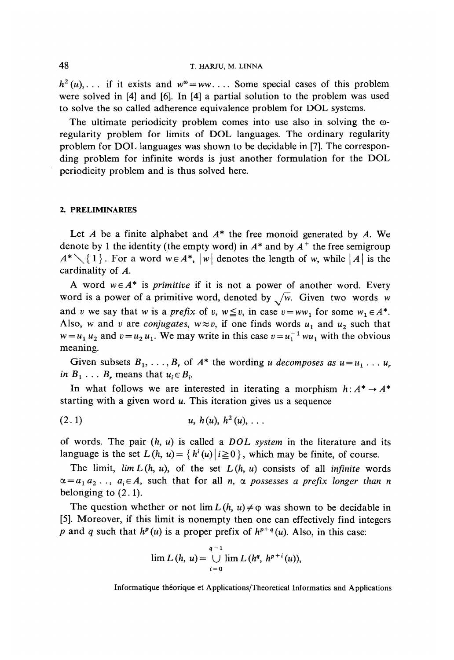### 48 T. HARJU, M. LINNA

 $h^2(u)$ , . . if it exists and  $w^{\omega} = ww$ . . . Some special cases of this problem were solved in [4] and [6]. In [4] a partial solution to the problem was used to solve the so called adherence equivalence problem for DOL systems.

The ultimate periodicity problem comes into use also in solving the  $\omega$ regularity problem for limits of DOL languages. The ordinary regularity problem for DOL languages was shown to be decidable in [7], The corresponding problem for infinité words is just another formulation for the DOL periodicity problem and is thus solved hère.

### **2. PRELIMINARIES**

Let *A* be a finite alphabet and *A\** the free monoid generated by *A.* We dénote by 1 the identity (the empty word) in *A\** and by *A<sup>+</sup>* the free semigroup  $A^* \setminus \{ 1 \}$ . For a word  $w \in A^*$ ,  $|w|$  denotes the length of w, while  $|A|$  is the cardinality of *A.*

A word  $w \in A^*$  is *primitive* if it is not a power of another word. Every word is a power of a primitive word, denoted by  $\sqrt{w}$ . Given two words w and *v* we say that *w* is a *prefix* of *v*,  $w \le v$ , in case  $v = ww_1$  for some  $w_1 \in A^*$ . Also, w and v are *conjugates*,  $w \approx v$ , if one finds words  $u_1$  and  $u_2$  such that  $w = u_1 u_2$  and  $v = u_2 u_1$ . We may write in this case  $v = u_1^{-1} w u_1$  with the obvious meaning.

Given subsets  $B_1, \ldots, B_r$  of  $A^*$  the wording *u* decomposes as  $u = u_1 \ldots u_r$ *in*  $B_1$ ... *B<sub>r</sub>* means that  $u_i \in B_i$ 

In what follows we are interested in iterating a morphism  $h: A^* \to A^*$ starting with a given word *u*. This iteration gives us a sequence

$$
(2.1) \t u, h(u), h2(u), ...
$$

of words. The pair (h, *u)* is called a *DOL system* in the literature and its language is the set  $L(h, u) = \{h^i(u) | i \ge 0\}$ , which may be finite, of course.

The limit,  $\lim L(h, u)$ , of the set  $L(h, u)$  consists of all *infinite* words  $\alpha = a_1 a_2 \ldots, a_i \in A$ , such that for all n,  $\alpha$  possesses a prefix longer than n belonging to (2.1).

The question whether or not  $\lim L(h, u) \neq \varphi$  was shown to be decidable in [5]. Moreover, if this limit is nonempty then one can effectively find integers *p* and *q* such that  $h^p(u)$  is a proper prefix of  $h^{p+q}(u)$ . Also, in this case:

$$
\lim L (h, u) = \bigcup_{i=0}^{q-1} \lim L (h^q, h^{p+i}(u)),
$$

Informatique théorique et Applications/Theoretical Informaties and Applications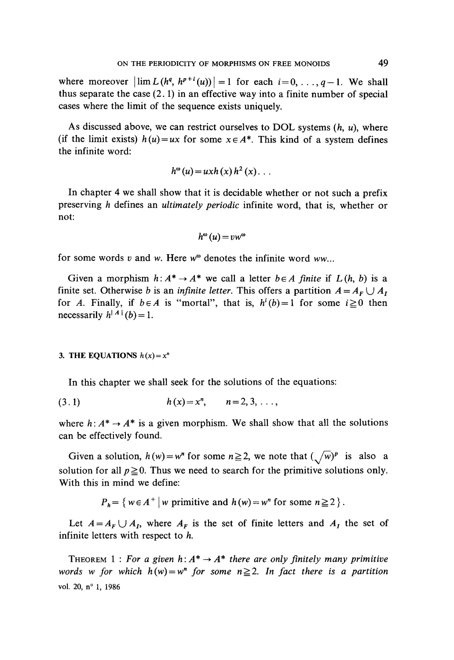where moreover  $\left| \lim_{h \to 0} L(h^q, h^{p+i}(u)) \right| = 1$  for each  $i = 0, \ldots, q-1$ . We shall thus separate the case (2.1) in an effective way into a finite number of special cases where the limit of the sequence exists uniquely.

As discussed above, we can restrict ourselves to DOL Systems *(h, u),* where (if the limit exists)  $h(u) = ux$  for some  $x \in A^*$ . This kind of a system defines the infinité word:

$$
h^{\omega}(u) = u x h(x) h^{2}(x) \dots
$$

In chapter 4 we shall show that it is decidable whether or not such a prefix preserving *h* defines an *ultimately periodic* infinité word, that is, whether or not:

$$
h^{\omega}(u) = vw^{\omega}
$$

for some words  $v$  and  $w$ . Here  $w^{\omega}$  denotes the infinite word  $ww...$ 

Given a morphism  $h: A^* \to A^*$  we call a letter  $b \in A$  finite if  $L(h, b)$  is a finite set. Otherwise *b* is an *infinite letter*. This offers a partition  $A = A<sub>F</sub> \cup A<sub>T</sub>$ for *A*. Finally, if  $b \in A$  is "mortal", that is,  $h^{i}(b)=1$  for some  $i \ge 0$  then necessarily  $h^{|A|}(b) = 1$ .

#### **3. THE EQUATIONS**  $h(x) = x^n$

In this chapter we shall seek for the solutions of the équations:

$$
(3.1) \t\t\t h(x)=x^n, \t n=2,3,\ldots,
$$

where  $h: A^* \to A^*$  is a given morphism. We shall show that all the solutions can be effectively found.

Given a solution,  $h(w) = w^n$  for some  $n \ge 2$ , we note that  $(\sqrt{w})^p$  is also a solution for all  $p \ge 0$ . Thus we need to search for the primitive solutions only. With this in mind we define:

 $P_h = \{ w \in A^+ \mid w \text{ primitive and } h(w) = w^n \text{ for some } n \geq 0 \}$ 

Let  $A = A_F \cup A_I$ , where  $A_F$  is the set of finite letters and  $A_I$  the set of infinité letters with respect to *h.*

THEOREM 1 : For a given  $h: A^* \to A^*$  there are only finitely many primitive words w for which  $h(w) = w^n$  for some  $n \ge 2$ . In fact there is a partition vol. 20, n° 1, 1986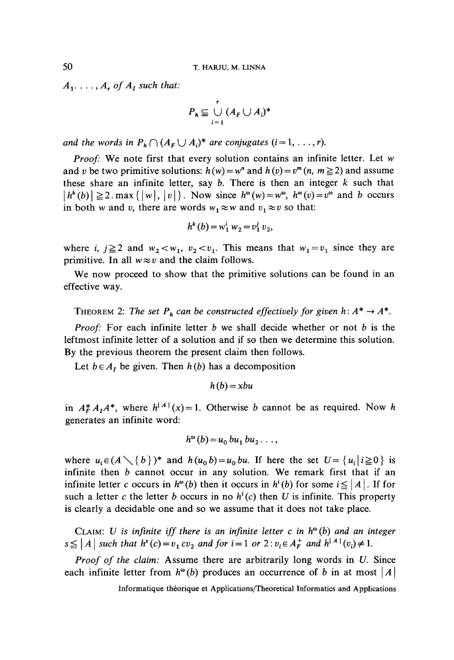$A_1$ ...,  $A_r$  of  $A_l$  such that:

$$
P_h \subseteq \bigcup_{i=1}^r (A_F \cup A_i)^*
$$

*and the words in*  $P_h \cap (A_F \cup A_i)^*$  *are conjugates*  $(i = 1, \ldots, r)$ .

*Proof:* We note first that every solution contains an infinité letter. Let *w* and *v* be two primitive solutions:  $h(w) = w^n$  and  $h(v) = v^m(n, m \ge 2)$  and assume these share an infinité letter, say *b.* There is then an integer *k* such that  $|h^{k}(b)| \ge 2$ .max  $\{|w|, |v|\}$ . Now since  $h^{\omega}(w) = w^{\omega}$ ,  $h^{\omega}(v) = v^{\omega}$  and *b* occurs in both w and v, there are words  $w_1 \approx w$  and  $v_1 \approx v$  so that:

$$
h^k(b) = w_1^i w_2 = v_1^j v_2,
$$

where i,  $j \ge 2$  and  $w_2 < w_1$ ,  $v_2 < v_1$ . This means that  $w_1 = v_1$  since they are primitive. In all  $w \approx v$  and the claim follows.

We now proceed to show that the primitive solutions can be found in an effective way.

THEOREM 2: The set  $P_h$  can be constructed effectively for given  $h: A^* \to A^*$ .

*Proof:* For each infinité letter *b* we shall décide whether or not *b* is the leftmost infinité letter of a solution and if so then we détermine this solution. By the previous theorem the present claim then follows.

Let  $b \in A_I$  be given. Then  $h(b)$  has a decomposition

 $h(b) = xbu$ 

in  $A_F^* A_I A^*$ , where  $h^{|A|}(x) = 1$ . Otherwise *b* cannot be as required. Now *h* generates an infinite word:

$$
h^{\omega}(b) = u_0 \, bu_1 \, bu_2 \, \ldots,
$$

where  $u_i \in (A \setminus \{b\})^*$  and  $h(u_0 b) = u_0 b u$ . If here the set  $U = \{u_i | i \ge 0\}$  is infinité then *b* cannot occur in any solution. We remark first that if an infinite letter *c* occurs in  $h^{\omega}(b)$  then it occurs in  $h^{i}(b)$  for some  $i \leq |A|$ . If for such a letter *c* the letter *b* occurs in no  $h^{i}(c)$  then *U* is infinite. This property is clearly a decidable one and so we assume that it does not take place.

CLAIM: *U is infinité iff there is an infinité letter c in h& (b) and an integer*  $s \leq |A|$  such that  $h^s(c) = v_1 c v_2$  and for  $i = 1$  or  $2 : v_i \in A_F^+$  and  $h^{|A|}(v_i) \neq 1$ .

*Proof of the claim:* Assume there are arbitrarily long words in *U.* Since each infinite letter from  $h^{\omega}(b)$  produces an occurrence of *b* in at most  $|A|$ 

Informatique théorique et Applications/Theoretical Informaties and Applications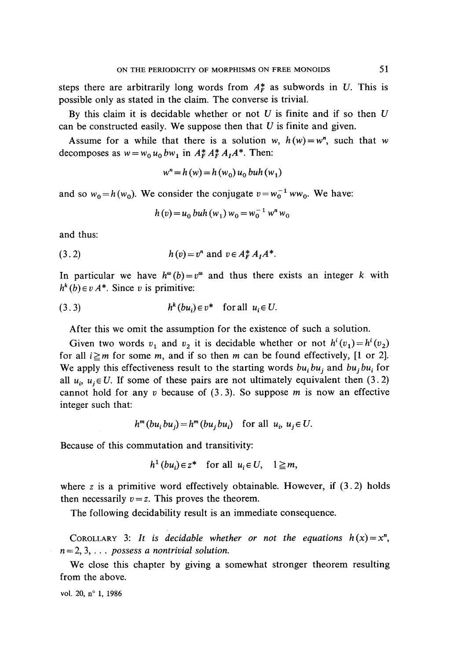steps there are arbitrarily long words from  $A_F^*$  as subwords in U. This is possible only as stated in the claim. The converse is trivial.

By this claim it is decidable whether or not *U* is finite and if so then *U* can be constructed easily. We suppose then that *U* is finite and given.

Assume for a while that there is a solution w,  $h(w) = w^n$ , such that w decomposes as  $w = w_0 u_0 b w_1$  in  $A_F^* A_F^* A_I A^*$ . Then:

$$
w^{n} = h(w) = h(w_{0}) u_{0} buh(w_{1})
$$

and so  $w_0 = h(w_0)$ . We consider the conjugate  $v = w_0^{-1} w w_0$ . We have:

$$
h(v) = u_0 \, buh(w_1) \, w_0 = w_0^{-1} \, w^n \, w_0
$$

and thus:

(3.2) 
$$
h(v) = v^n
$$
 and  $v \in A_F^* A_I A^*$ .

In particular we have  $h^{\omega}(b) = v^{\omega}$  and thus there exists an integer k with  $h^k(b) \in vA^*$ . Since *v* is primitive:

$$
(3.3) \t hk(bui) \in v* \t for all  $ui \in U$ .
$$

After this we omit the assumption for the existence of such a solution.

Given two words  $v_1$  and  $v_2$  it is decidable whether or not  $h^i(v_1) = h^i(v_2)$ for all  $i \ge m$  for some m, and if so then m can be found effectively, [1 or 2]. We apply this effectiveness result to the starting words  $bu_i bu_j$  and  $bu_j bu_i$  for all  $u_i$ ,  $u_j \in U$ . If some of these pairs are not ultimately equivalent then (3.2) cannot hold for any *v* because of (3.3). So suppose m is now an effective integer such that:

$$
h^m(bu_ibu_j) = h^m(bu_jbu_i) \text{ for all } u_i, u_j \in U.
$$

Because of this commutation and transitivity:

 $h^1(bu_i) \in z^*$  for all  $u_i \in U$ ,  $1 \ge m$ ,

where z is a primitive word effectively obtainable. However, if  $(3.2)$  holds then necessarily  $v = z$ . This proves the theorem.

The following decidability result is an immediate consequence.

COROLLARY 3: It is decidable whether or not the equations  $h(x) = x^n$ , *n — 2,* 3, . . . *possess a nontrivial solution.*

We close this chapter by giving a somewhat stronger theorem resulting from the above.

vol. 20, n° 1, 1986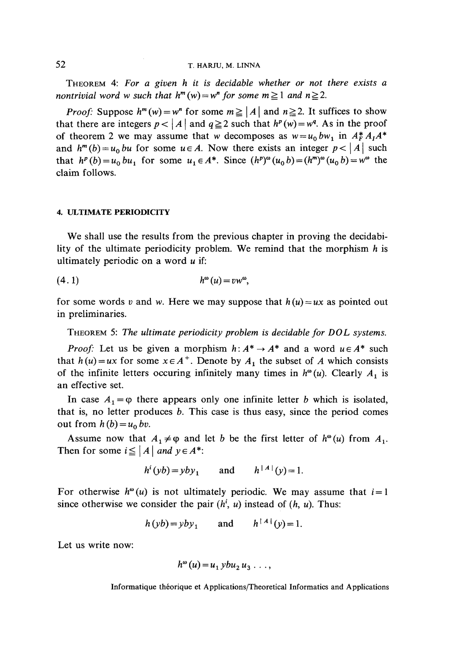THEOREM 4: *For a given h it is decidable whether or not there exists a nontrivial word w such that*  $h^m(w) = w^n$  *for some*  $m \ge 1$  *and*  $n \ge 2$ *.* 

*Proof:* Suppose  $h^m(w) = w^n$  for some  $m \geq |A|$  and  $n \geq 2$ . It suffices to show that there are integers  $p < |A|$  and  $q \ge 2$  such that  $h^p(w) = w^q$ . As in the proof of theorem 2 we may assume that w decomposes as  $w = u_0 b w_1$  in  $A_F^* A_I A^*$ and  $h^m(b) = u_0$  *bu* for some  $u \in A$ . Now there exists an integer  $p < |A|$  such that  $h^p(b) = u_0 bu_1$  for some  $u_1 \in A^*$ . Since  $(h^p)^\omega(u_0 b) = (h^m)^\omega(u_0 b) = w^\omega$  the claim follows.

#### **4. ULTIMATE PERIODICITY**

We shall use the results from the previous chapter in proving the decidability of the ultimate periodicity problem. We remind that the morphism *h* is ultimately periodic on a word *u* if:

$$
(4.1) \t\t h^{\omega}(u) = vw^{\omega},
$$

for some words v and w. Here we may suppose that  $h(u) = ux$  as pointed out in preliminaries.

THEOREM 5: *The ultimate periodicity problem is decidable for DOL Systems.*

*Proof:* Let us be given a morphism  $h: A^* \to A^*$  and a word  $u \in A^*$  such that  $h(u) = ux$  for some  $x \in A^+$ . Denote by  $A_1$  the subset of A which consists of the infinite letters occuring infinitely many times in  $h^{\omega}(u)$ . Clearly  $A_1$  is an effective set.

In case  $A_1 = \varphi$  there appears only one infinite letter *b* which is isolated, that is, no letter produces *b.* This case is thus easy, since the period cornes out from  $h(b) = u_0$  bv.

Assume now that  $A_1 \neq \varphi$  and let *b* be the first letter of  $h^{\omega}(u)$  from  $A_1$ Then for some  $i \leq |A|$  and  $y \in A^*$ :

$$
h^i(yb) = yby_1 \qquad \text{and} \qquad h^{\mid A \mid}(y) = 1.
$$

For otherwise  $h^{\omega}(u)$  is not ultimately periodic. We may assume that  $i=1$ since otherwise we consider the pair  $(h^i, u)$  instead of  $(h, u)$ . Thus:

$$
h(yb) = yby_1
$$
 and  $h^{\dagger} A^{\dagger}(y) = 1$ .

Let us write now:

$$
h^{\omega}(u) = u_1 y b u_2 u_3 \ldots,
$$

Informatique théorique et Applications/Theoretical Informaties and Applications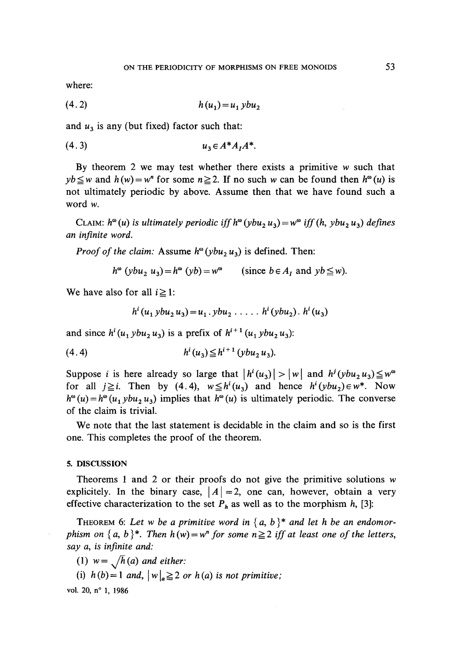where:

$$
(4.2) \t\t\t h(u1) = u1 ybu2
$$

and  $u_3$  is any (but fixed) factor such that:

$$
(4.3) \t u_3 \in A^* A_I A^*.
$$

By theorem 2 we may test whether there exists a primitive *w* such that  $yb \leq w$  and  $h(w) = w^n$  for some  $n \geq 2$ . If no such w can be found then  $h^{\infty}(u)$  is not ultimately periodic by above. Assume then that we have found such a word *w.*

CLAIM:  $h^{\omega}(u)$  is ultimately periodic iff  $h^{\omega}(ybu_2u_3) = w^{\omega}$  iff  $(h, ybu_2u_3)$  defines *an infinité word.*

*Proof of the claim:* Assume  $h^{\omega}(ybu_2u_3)$  is defined. Then:

$$
h^{\omega}
$$
 (*ybu*<sub>2</sub>  $u_3$ ) =  $h^{\omega}$  (*yb*) =  $w^{\omega}$  (since  $b \in A_I$  and  $yb \leq w$ ).

We have also for all  $i \geq 1$ :

$$
h^{i}(u_{1} ybu_{2} u_{3})=u_{1}. ybu_{2} \ldots . h^{i}(ybu_{2}). h^{i}(u_{3})
$$

and since  $h^{i}(u_1 ybu_2 u_3)$  is a prefix of  $h^{i+1}(u_1 ybu_2 u_3)$ 

$$
(4.4) \t hi(u3) \leq hi+1(ybu2u3).
$$

Suppose *i* is here already so large that  $|h^{i}(u_3)| > |w|$  and  $h^{j}(ybu_2u_3) \leq w^{\omega}$ for all  $j \geq i$ . Then by (4.4),  $w \leq h^{i}(u_3)$  and hence  $h^{i}(ybu_2) \in w^*$ . Now  $h^{\omega}(u) = h^{\omega}(u_1 y b u_2 u_3)$  implies that  $h^{\omega}(u)$  is ultimately periodic. The converse of the claim is trivial.

We note that the last statement is decidable in the claim and so is the first one. This complètes the proof of the theorem.

#### **5. DISCUSSION**

Theorems 1 and 2 or their proofs do not give the primitive solutions  $w$ explicitely. In the binary case,  $\vert A\vert =2$ , one can, however, obtain a very effective characterization to the set  $P_h$  as well as to the morphism  $h$ , [3]:

THEOREM 6: Let w be a primitive word in  $\{a, b\}^*$  and let h be an endomor*phism on*  $\{a, b\}^*$ . Then  $h(w) = w^n$  for some  $n \ge 2$  iff at least one of the letters, *say a, is infinité and:*

(1)  $w = \sqrt{h}(a)$  and either:

(i)  $h(b)=1$  and,  $|w|_a \geq 2$  or  $h(a)$  is not primitive;

vol. 20, n° 1, 1986